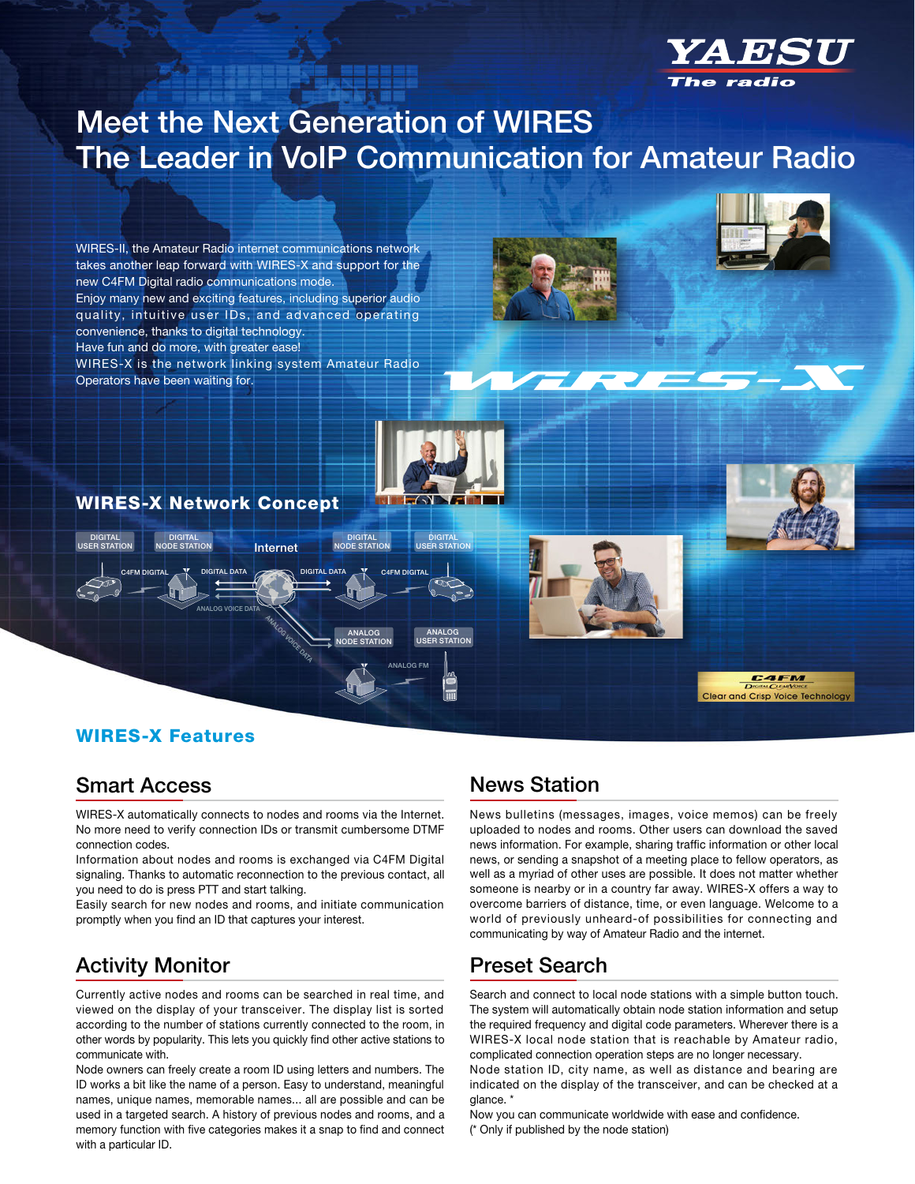

# Meet the Next Generation of WIRES The Leader in VoIP Communication for Amateur Radio



### WIRES-X Features

### Smart Access

WIRES-X automatically connects to nodes and rooms via the Internet. No more need to verify connection IDs or transmit cumbersome DTMF connection codes.

Information about nodes and rooms is exchanged via C4FM Digital signaling. Thanks to automatic reconnection to the previous contact, all you need to do is press PTT and start talking.

Easily search for new nodes and rooms, and initiate communication promptly when you find an ID that captures your interest.

### Activity Monitor

Currently active nodes and rooms can be searched in real time, and viewed on the display of your transceiver. The display list is sorted according to the number of stations currently connected to the room, in other words by popularity. This lets you quickly find other active stations to communicate with.

Node owners can freely create a room ID using letters and numbers. The ID works a bit like the name of a person. Easy to understand, meaningful names, unique names, memorable names... all are possible and can be used in a targeted search. A history of previous nodes and rooms, and a memory function with five categories makes it a snap to find and connect with a particular ID.

### News Station

News bulletins (messages, images, voice memos) can be freely uploaded to nodes and rooms. Other users can download the saved news information. For example, sharing traffic information or other local news, or sending a snapshot of a meeting place to fellow operators, as well as a myriad of other uses are possible. It does not matter whether someone is nearby or in a country far away. WIRES-X offers a way to overcome barriers of distance, time, or even language. Welcome to a world of previously unheard-of possibilities for connecting and communicating by way of Amateur Radio and the internet.

### Preset Search

Search and connect to local node stations with a simple button touch. The system will automatically obtain node station information and setup the required frequency and digital code parameters. Wherever there is a WIRES-X local node station that is reachable by Amateur radio, complicated connection operation steps are no longer necessary.

Node station ID, city name, as well as distance and bearing are indicated on the display of the transceiver, and can be checked at a glance. \*

Now you can communicate worldwide with ease and confidence. (\* Only if published by the node station)